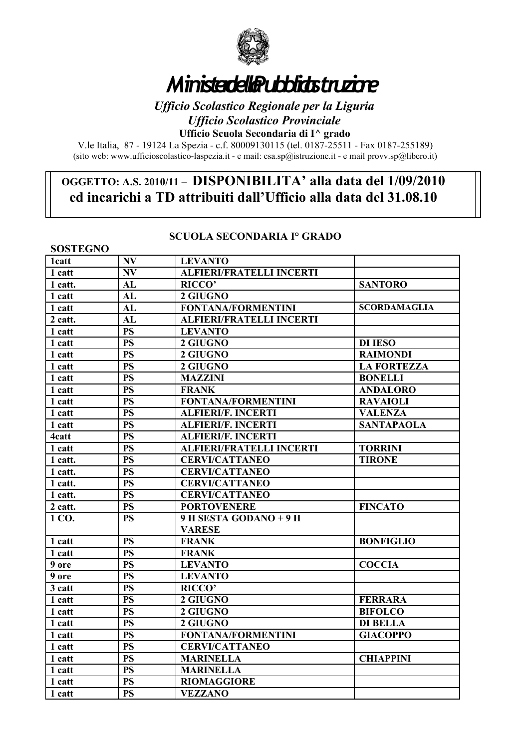

# *Ministero della Pubblica Istruzione*

*Ufficio Scolastico Regionale per la Liguria Ufficio Scolastico Provinciale*

**Ufficio Scuola Secondaria di I^ grado**

V.le Italia, 87 - 19124 La Spezia - c.f. 80009130115 (tel. 0187-25511 - Fax 0187-255189) (sito web: www.ufficioscolastico-laspezia.it - e mail: csa.sp $\hat{\omega}$ istruzione.it - e mail provv.sp $\hat{\omega}$ libero.it)

## **OGGETTO: A.S. 2010/11 – DISPONIBILITA' alla data del 1/09/2010 ed incarichi a TD attribuiti dall'Ufficio alla data del 31.08.10**

#### **SCUOLA SECONDARIA I° GRADO**

| <b>SOSTEGNO</b> |                        |                                 |                     |
|-----------------|------------------------|---------------------------------|---------------------|
| <b>1catt</b>    | <b>NV</b>              | <b>LEVANTO</b>                  |                     |
| 1 catt          | N V                    | <b>ALFIERI/FRATELLI INCERTI</b> |                     |
| 1 catt.         | AL                     | <b>RICCO'</b>                   | <b>SANTORO</b>      |
| 1 catt          | AL                     | 2 GIUGNO                        |                     |
| 1 catt          | AL                     | <b>FONTANA/FORMENTINI</b>       | <b>SCORDAMAGLIA</b> |
| 2 catt.         | AL                     | <b>ALFIERI/FRATELLI INCERTI</b> |                     |
| 1 catt          | <b>PS</b>              | <b>LEVANTO</b>                  |                     |
| 1 catt          | <b>PS</b>              | 2 GIUGNO                        | <b>DI IESO</b>      |
| 1 catt          | <b>PS</b>              | 2 GIUGNO                        | <b>RAIMONDI</b>     |
| 1 catt          | <b>PS</b>              | 2 GIUGNO                        | <b>LA FORTEZZA</b>  |
| 1 catt          | <b>PS</b>              | <b>MAZZINI</b>                  | <b>BONELLI</b>      |
| 1 catt          | <b>PS</b>              | <b>FRANK</b>                    | <b>ANDALORO</b>     |
| 1 catt          | <b>PS</b>              | <b>FONTANA/FORMENTINI</b>       | <b>RAVAIOLI</b>     |
| 1 catt          | <b>PS</b>              | <b>ALFIERI/F. INCERTI</b>       | <b>VALENZA</b>      |
| 1 catt          | <b>PS</b>              | <b>ALFIERI/F. INCERTI</b>       | <b>SANTAPAOLA</b>   |
| 4catt           | <b>PS</b>              | <b>ALFIERI/F. INCERTI</b>       |                     |
| 1 catt          | <b>PS</b>              | <b>ALFIERI/FRATELLI INCERTI</b> | <b>TORRINI</b>      |
| 1 catt.         | <b>PS</b>              | <b>CERVI/CATTANEO</b>           | <b>TIRONE</b>       |
| 1 catt.         | <b>PS</b>              | <b>CERVI/CATTANEO</b>           |                     |
| 1 catt.         | <b>PS</b>              | <b>CERVI/CATTANEO</b>           |                     |
| 1 catt.         | <b>PS</b>              | <b>CERVI/CATTANEO</b>           |                     |
| 2 catt.         | <b>PS</b>              | <b>PORTOVENERE</b>              | <b>FINCATO</b>      |
| 1 CO.           | <b>PS</b>              | 9 H SESTA GODANO + 9 H          |                     |
|                 |                        | <b>VARESE</b>                   |                     |
| 1 catt          | <b>PS</b>              | <b>FRANK</b>                    | <b>BONFIGLIO</b>    |
| 1 catt          | <b>PS</b>              | <b>FRANK</b>                    |                     |
| 9 ore           | <b>PS</b>              | <b>LEVANTO</b>                  | <b>COCCIA</b>       |
| 9 ore           | $\overline{\text{PS}}$ | <b>LEVANTO</b>                  |                     |
| 3 catt          | <b>PS</b>              | <b>RICCO'</b>                   |                     |
| 1 catt          | <b>PS</b>              | 2 GIUGNO                        | <b>FERRARA</b>      |
| 1 catt          | <b>PS</b>              | 2 GIUGNO                        | <b>BIFOLCO</b>      |
| 1 catt          | <b>PS</b>              | 2 GIUGNO                        | <b>DI BELLA</b>     |
| 1 catt          | <b>PS</b>              | <b>FONTANA/FORMENTINI</b>       | <b>GIACOPPO</b>     |
| 1 catt          | <b>PS</b>              | <b>CERVI/CATTANEO</b>           |                     |
| 1 catt          | <b>PS</b>              | <b>MARINELLA</b>                | <b>CHIAPPINI</b>    |
| 1 catt          | <b>PS</b>              | <b>MARINELLA</b>                |                     |
| 1 catt          | <b>PS</b>              | <b>RIOMAGGIORE</b>              |                     |
| 1 catt          | <b>PS</b>              | <b>VEZZANO</b>                  |                     |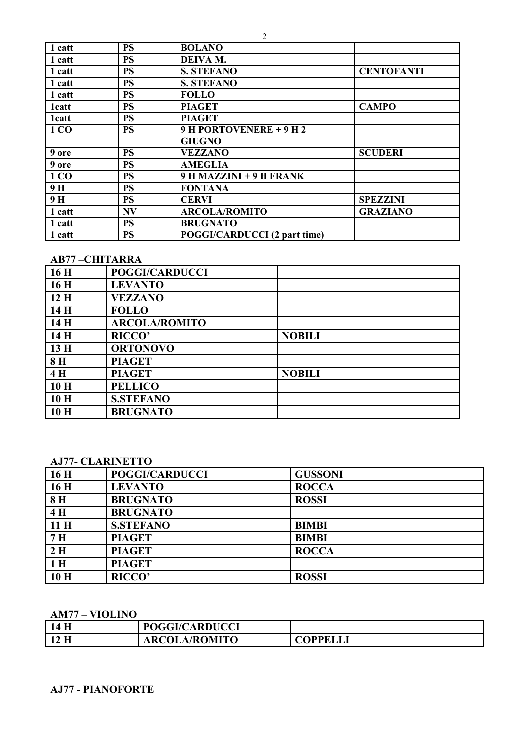| 1 catt        | <b>PS</b> | <b>BOLANO</b>                       |                   |
|---------------|-----------|-------------------------------------|-------------------|
| 1 catt        | PS        | DEIVA M.                            |                   |
| 1 catt        | PS        | <b>S. STEFANO</b>                   | <b>CENTOFANTI</b> |
| 1 catt        | <b>PS</b> | <b>S. STEFANO</b>                   |                   |
| 1 catt        | <b>PS</b> | <b>FOLLO</b>                        |                   |
| 1catt         | PS        | <b>PIAGET</b>                       | <b>CAMPO</b>      |
| <b>1</b> catt | PS        | <b>PIAGET</b>                       |                   |
| 1 CO          | PS        | 9 H PORTOVENERE $+$ 9 H 2           |                   |
|               |           | <b>GIUGNO</b>                       |                   |
| 9 ore         | <b>PS</b> | <b>VEZZANO</b>                      | <b>SCUDERI</b>    |
| 9 ore         | PS        | <b>AMEGLIA</b>                      |                   |
| 1 CO          | <b>PS</b> | 9 H MAZZINI + 9 H FRANK             |                   |
| 9H            | <b>PS</b> | <b>FONTANA</b>                      |                   |
| 9 H           | <b>PS</b> | <b>CERVI</b>                        | <b>SPEZZINI</b>   |
| 1 catt        | <b>NV</b> | <b>ARCOLA/ROMITO</b>                | <b>GRAZIANO</b>   |
| 1 catt        | <b>PS</b> | <b>BRUGNATO</b>                     |                   |
| 1 catt        | PS        | <b>POGGI/CARDUCCI (2 part time)</b> |                   |

#### **AB77 –CHITARRA**

| 16H | <b>POGGI/CARDUCCI</b> |               |
|-----|-----------------------|---------------|
| 16H | <b>LEVANTO</b>        |               |
| 12H | <b>VEZZANO</b>        |               |
| 14H | <b>FOLLO</b>          |               |
| 14H | <b>ARCOLA/ROMITO</b>  |               |
| 14H | <b>RICCO'</b>         | <b>NOBILI</b> |
| 13H | <b>ORTONOVO</b>       |               |
| 8H  | <b>PIAGET</b>         |               |
| 4H  | <b>PIAGET</b>         | <b>NOBILI</b> |
| 10H | <b>PELLICO</b>        |               |
| 10H | <b>S.STEFANO</b>      |               |
| 10H | <b>BRUGNATO</b>       |               |

#### **AJ77- CLARINETTO**

| 16H            | <b>POGGI/CARDUCCI</b> | <b>GUSSONI</b> |
|----------------|-----------------------|----------------|
| 16H            | <b>LEVANTO</b>        | <b>ROCCA</b>   |
| 8H             | <b>BRUGNATO</b>       | <b>ROSSI</b>   |
| 4H             | <b>BRUGNATO</b>       |                |
| 11H            | <b>S.STEFANO</b>      | <b>BIMBI</b>   |
| 7 <sub>H</sub> | <b>PIAGET</b>         | <b>BIMBI</b>   |
| 2H             | <b>PIAGET</b>         | <b>ROCCA</b>   |
| 1 <sub>H</sub> | <b>PIAGET</b>         |                |
| 10H            | <b>RICCO'</b>         | <b>ROSSI</b>   |

## **AM77 – VIOLINO**

| 14 H         | <b>POGGI/CARDUCCI</b> |          |
|--------------|-----------------------|----------|
| $\vert$ 12 H | <b>ARCOLA/ROMITO</b>  | COPPELLI |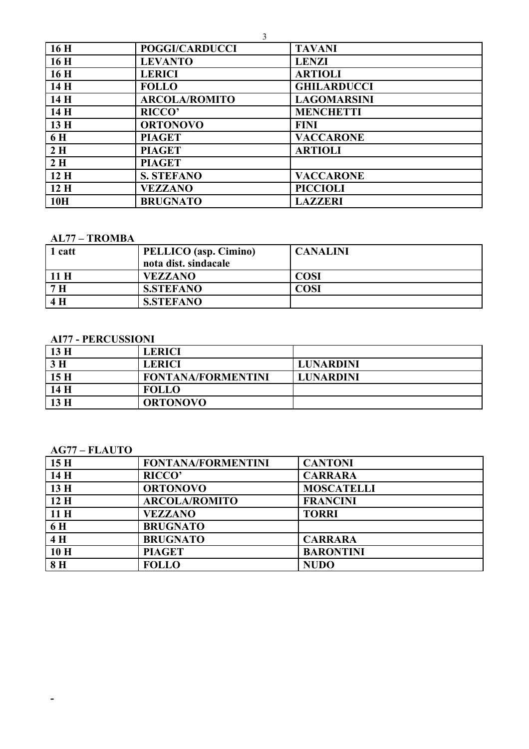|     | 3                     |                    |
|-----|-----------------------|--------------------|
| 16H | <b>POGGI/CARDUCCI</b> | <b>TAVANI</b>      |
| 16H | <b>LEVANTO</b>        | <b>LENZI</b>       |
| 16H | <b>LERICI</b>         | <b>ARTIOLI</b>     |
| 14H | <b>FOLLO</b>          | <b>GHILARDUCCI</b> |
| 14H | <b>ARCOLA/ROMITO</b>  | <b>LAGOMARSINI</b> |
| 14H | <b>RICCO</b>          | <b>MENCHETTI</b>   |
| 13H | <b>ORTONOVO</b>       | <b>FINI</b>        |
| 6 H | <b>PIAGET</b>         | <b>VACCARONE</b>   |
| 2H  | <b>PIAGET</b>         | <b>ARTIOLI</b>     |
| 2H  | <b>PIAGET</b>         |                    |
| 12H | <b>S. STEFANO</b>     | <b>VACCARONE</b>   |
| 12H | <b>VEZZANO</b>        | <b>PICCIOLI</b>    |
| 10H | <b>BRUGNATO</b>       | <b>LAZZERI</b>     |

#### **AL77 - TROMBA**

| 1 catt         | PELLICO (asp. Cimino) | <b>CANALINI</b> |
|----------------|-----------------------|-----------------|
|                | nota dist. sindacale  |                 |
| 11 H           | <b>VEZZANO</b>        | <b>COSI</b>     |
| 7 <sub>H</sub> | <b>S.STEFANO</b>      | COSI            |
| 4H             | <b>S.STEFANO</b>      |                 |

## **AI77 - PERCUSSIONI**

| $\vert$ 13 H | <b>LERICI</b>             |                  |
|--------------|---------------------------|------------------|
| $\vert 3H$   | <b>LERICI</b>             | <b>LUNARDINI</b> |
| 15H          | <b>FONTANA/FORMENTINI</b> | <b>LUNARDINI</b> |
| 14H          | <b>FOLLO</b>              |                  |
| $\vert$ 13 H | <b>ORTONOVO</b>           |                  |

## $AG77 - FLAUTO$

 $\omega_{\rm{max}}$ 

| 15H          | <b>FONTANA/FORMENTINI</b> | <b>CANTONI</b>    |
|--------------|---------------------------|-------------------|
| $\vert$ 14 H | <b>RICCO'</b>             | <b>CARRARA</b>    |
| 13H          | <b>ORTONOVO</b>           | <b>MOSCATELLI</b> |
| 12H          | <b>ARCOLA/ROMITO</b>      | <b>FRANCINI</b>   |
| 11H          | <b>VEZZANO</b>            | <b>TORRI</b>      |
| <b>6H</b>    | <b>BRUGNATO</b>           |                   |
| 4H           | <b>BRUGNATO</b>           | <b>CARRARA</b>    |
| 10H          | <b>PIAGET</b>             | <b>BARONTINI</b>  |
| 8H           | <b>FOLLO</b>              | <b>NUDO</b>       |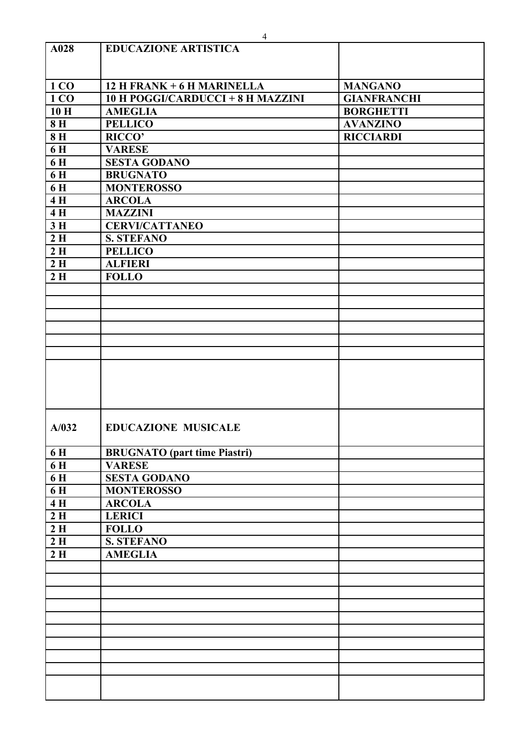|       | $\overline{4}$                      |                    |
|-------|-------------------------------------|--------------------|
| A028  | <b>EDUCAZIONE ARTISTICA</b>         |                    |
|       |                                     |                    |
|       |                                     |                    |
| 1 CO  | 12 H FRANK + 6 H MARINELLA          | <b>MANGANO</b>     |
| 1 CO  | 10 H POGGI/CARDUCCI + 8 H MAZZINI   | <b>GIANFRANCHI</b> |
| 10H   | <b>AMEGLIA</b>                      | <b>BORGHETTI</b>   |
| 8H    | <b>PELLICO</b>                      | <b>AVANZINO</b>    |
| 8H    | RICCO'                              | <b>RICCIARDI</b>   |
| 6H    | <b>VARESE</b>                       |                    |
| 6H    | <b>SESTA GODANO</b>                 |                    |
| 6H    | <b>BRUGNATO</b>                     |                    |
| 6H    | <b>MONTEROSSO</b>                   |                    |
| 4H    | <b>ARCOLA</b>                       |                    |
| 4H    | <b>MAZZINI</b>                      |                    |
| 3H    | <b>CERVI/CATTANEO</b>               |                    |
| 2H    | <b>S. STEFANO</b>                   |                    |
| 2H    | <b>PELLICO</b>                      |                    |
| 2H    | <b>ALFIERI</b>                      |                    |
| 2H    | <b>FOLLO</b>                        |                    |
|       |                                     |                    |
|       |                                     |                    |
|       |                                     |                    |
|       |                                     |                    |
|       |                                     |                    |
|       |                                     |                    |
|       |                                     |                    |
|       |                                     |                    |
|       |                                     |                    |
|       |                                     |                    |
|       |                                     |                    |
| A/032 | <b>EDUCAZIONE MUSICALE</b>          |                    |
|       |                                     |                    |
| 6H    | <b>BRUGNATO</b> (part time Piastri) |                    |
| 6H    | <b>VARESE</b>                       |                    |
| 6 H   | <b>SESTA GODANO</b>                 |                    |
| 6H    | <b>MONTEROSSO</b>                   |                    |
| 4H    | <b>ARCOLA</b>                       |                    |
| 2H    | <b>LERICI</b>                       |                    |
| 2H    | <b>FOLLO</b>                        |                    |
| 2H    | <b>S. STEFANO</b>                   |                    |
| 2H    | <b>AMEGLIA</b>                      |                    |
|       |                                     |                    |
|       |                                     |                    |
|       |                                     |                    |
|       |                                     |                    |
|       |                                     |                    |
|       |                                     |                    |
|       |                                     |                    |
|       |                                     |                    |
|       |                                     |                    |
|       |                                     |                    |
|       |                                     |                    |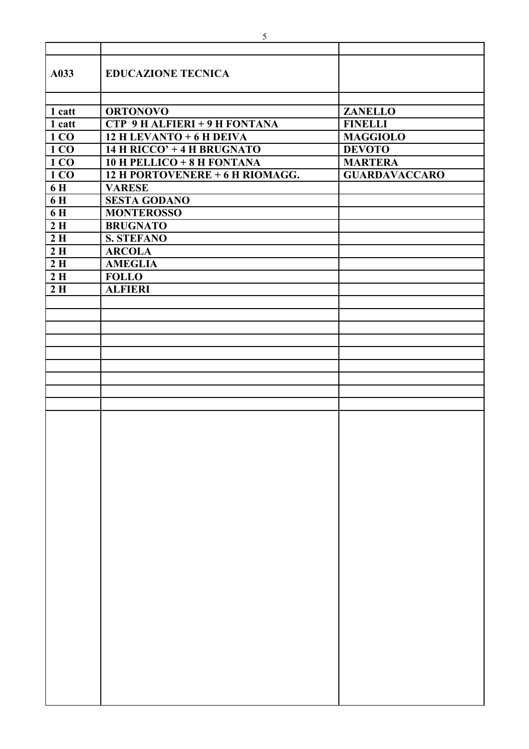| A033              | <b>EDUCAZIONE TECNICA</b>       |                      |
|-------------------|---------------------------------|----------------------|
|                   |                                 |                      |
| 1 catt            | <b>ORTONOVO</b>                 | <b>ZANELLO</b>       |
| 1 catt            | CTP 9 H ALFIERI + 9 H FONTANA   | <b>FINELLI</b>       |
| $\vert$ 1 CO      | 12 H LEVANTO + 6 H DEIVA        | <b>MAGGIOLO</b>      |
| $\vert$ 1 CO      | 14 H RICCO' + 4 H BRUGNATO      | <b>DEVOTO</b>        |
| $\vert$ 1 CO      | 10 H PELLICO + 8 H FONTANA      | <b>MARTERA</b>       |
| $\overline{1}$ CO | 12 H PORTOVENERE + 6 H RIOMAGG. | <b>GUARDAVACCARO</b> |
| 6 H               | <b>VARESE</b>                   |                      |
| <b>6H</b>         | <b>SESTA GODANO</b>             |                      |
| <b>6H</b>         | <b>MONTEROSSO</b>               |                      |
| 2H                | <b>BRUGNATO</b>                 |                      |
| 2H                | <b>S. STEFANO</b>               |                      |
| 2H                | <b>ARCOLA</b>                   |                      |
| 2H                | <b>AMEGLIA</b>                  |                      |
| 2H                | <b>FOLLO</b>                    |                      |
| 2H                | <b>ALFIERI</b>                  |                      |
|                   |                                 |                      |
|                   |                                 |                      |
|                   |                                 |                      |
|                   |                                 |                      |
|                   |                                 |                      |
|                   |                                 |                      |
|                   |                                 |                      |
|                   |                                 |                      |
|                   |                                 |                      |
|                   |                                 |                      |
|                   |                                 |                      |
|                   |                                 |                      |
|                   |                                 |                      |
|                   |                                 |                      |
|                   |                                 |                      |
|                   |                                 |                      |
|                   |                                 |                      |
|                   |                                 |                      |
|                   |                                 |                      |
|                   |                                 |                      |
|                   |                                 |                      |
|                   |                                 |                      |
|                   |                                 |                      |
|                   |                                 |                      |
|                   |                                 |                      |
|                   |                                 |                      |
|                   |                                 |                      |
|                   |                                 |                      |
|                   |                                 |                      |
|                   |                                 |                      |
|                   |                                 |                      |
|                   |                                 |                      |
|                   |                                 |                      |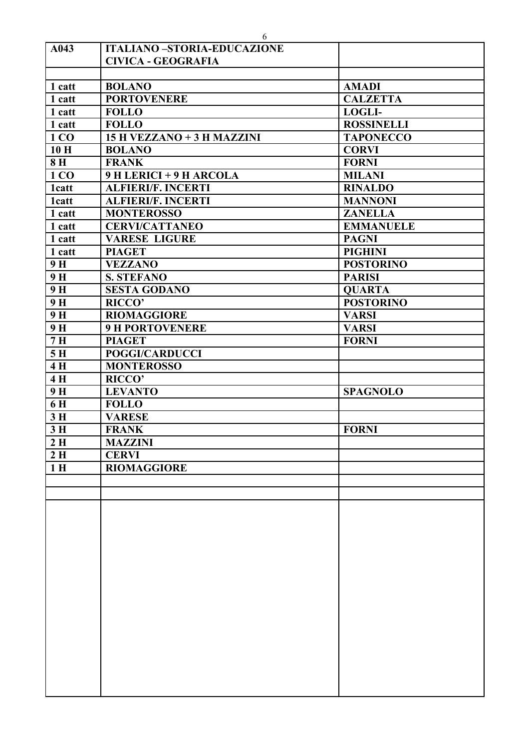|                | 6                                 |                   |
|----------------|-----------------------------------|-------------------|
| A043           | <b>ITALIANO-STORIA-EDUCAZIONE</b> |                   |
|                | <b>CIVICA - GEOGRAFIA</b>         |                   |
|                |                                   |                   |
| 1 catt         | <b>BOLANO</b>                     | <b>AMADI</b>      |
| 1 catt         | <b>PORTOVENERE</b>                | <b>CALZETTA</b>   |
| 1 catt         | <b>FOLLO</b>                      | <b>LOGLI-</b>     |
| 1 catt         | <b>FOLLO</b>                      | <b>ROSSINELLI</b> |
| 1 CO           | 15 H VEZZANO + 3 H MAZZINI        | <b>TAPONECCO</b>  |
| 10H            | <b>BOLANO</b>                     | <b>CORVI</b>      |
| 8H             | <b>FRANK</b>                      | <b>FORNI</b>      |
| 1 CO           | 9 H LERICI + 9 H ARCOLA           | <b>MILANI</b>     |
| <b>1catt</b>   | <b>ALFIERI/F. INCERTI</b>         | <b>RINALDO</b>    |
| <b>1catt</b>   | <b>ALFIERI/F. INCERTI</b>         | <b>MANNONI</b>    |
| 1 catt         | <b>MONTEROSSO</b>                 | <b>ZANELLA</b>    |
| 1 catt         | <b>CERVI/CATTANEO</b>             | <b>EMMANUELE</b>  |
| 1 catt         | <b>VARESE LIGURE</b>              | <b>PAGNI</b>      |
| 1 catt         | <b>PIAGET</b>                     | <b>PIGHINI</b>    |
| 9H             | <b>VEZZANO</b>                    | <b>POSTORINO</b>  |
| 9 <sub>H</sub> | <b>S. STEFANO</b>                 | <b>PARISI</b>     |
| 9H             | <b>SESTA GODANO</b>               | <b>QUARTA</b>     |
| 9H             | RICCO'                            | <b>POSTORINO</b>  |
| 9H             | <b>RIOMAGGIORE</b>                | <b>VARSI</b>      |
| 9H             | <b>9 H PORTOVENERE</b>            | <b>VARSI</b>      |
| 7H             | <b>PIAGET</b>                     | <b>FORNI</b>      |
| 5H             | <b>POGGI/CARDUCCI</b>             |                   |
| 4H             | <b>MONTEROSSO</b>                 |                   |
| 4H             | <b>RICCO'</b>                     |                   |
| 9H             | <b>LEVANTO</b>                    | <b>SPAGNOLO</b>   |
| 6H             | <b>FOLLO</b>                      |                   |
| 3H             | <b>VARESE</b>                     |                   |
| 3H             | <b>FRANK</b>                      | <b>FORNI</b>      |
| 2H             | <b>MAZZINI</b>                    |                   |
| 2H             | <b>CERVI</b>                      |                   |
| 1 <sub>H</sub> | <b>RIOMAGGIORE</b>                |                   |
|                |                                   |                   |
|                |                                   |                   |
|                |                                   |                   |
|                |                                   |                   |
|                |                                   |                   |
|                |                                   |                   |
|                |                                   |                   |
|                |                                   |                   |
|                |                                   |                   |
|                |                                   |                   |
|                |                                   |                   |
|                |                                   |                   |
|                |                                   |                   |
|                |                                   |                   |
|                |                                   |                   |
|                |                                   |                   |
|                |                                   |                   |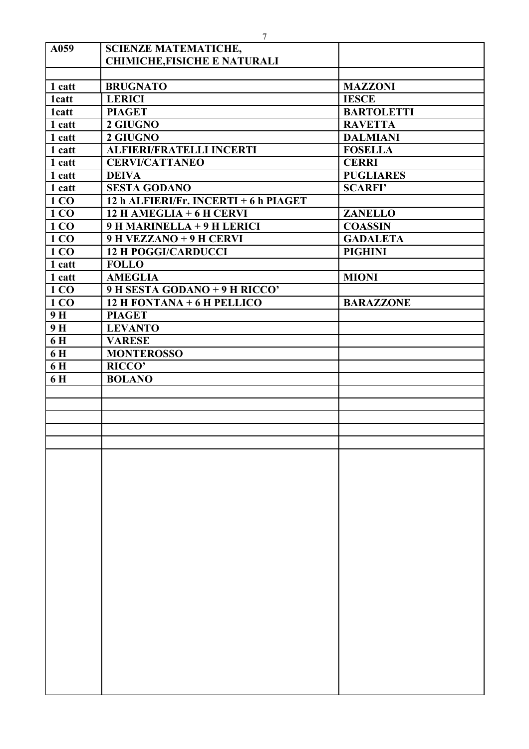|               | 7                                     |                   |
|---------------|---------------------------------------|-------------------|
| A059          | <b>SCIENZE MATEMATICHE,</b>           |                   |
|               | <b>CHIMICHE, FISICHE E NATURALI</b>   |                   |
|               |                                       |                   |
| 1 catt        | <b>BRUGNATO</b>                       | <b>MAZZONI</b>    |
| <b>1</b> catt | <b>LERICI</b>                         | <b>IESCE</b>      |
| <b>1</b> catt | <b>PIAGET</b>                         | <b>BARTOLETTI</b> |
| 1 catt        | 2 GIUGNO                              | <b>RAVETTA</b>    |
| 1 catt        | 2 GIUGNO                              | <b>DALMIANI</b>   |
| 1 catt        | <b>ALFIERI/FRATELLI INCERTI</b>       | <b>FOSELLA</b>    |
| 1 catt        | <b>CERVI/CATTANEO</b>                 | <b>CERRI</b>      |
| 1 catt        | <b>DEIVA</b>                          | <b>PUGLIARES</b>  |
| 1 catt        | <b>SESTA GODANO</b>                   | <b>SCARFI'</b>    |
| 1 CO          | 12 h ALFIERI/Fr. INCERTI + 6 h PIAGET |                   |
| 1 CO          | $12$ H AMEGLIA + 6 H CERVI            | <b>ZANELLO</b>    |
| 1 CO          | 9 H MARINELLA + 9 H LERICI            | <b>COASSIN</b>    |
| 1 CO          | 9 H VEZZANO + 9 H CERVI               | <b>GADALETA</b>   |
| 1 CO          | <b>12 H POGGI/CARDUCCI</b>            | <b>PIGHINI</b>    |
| 1 catt        | <b>FOLLO</b>                          |                   |
| 1 catt        | <b>AMEGLIA</b>                        | <b>MIONI</b>      |
| 1 CO          | 9 H SESTA GODANO + 9 H RICCO'         |                   |
| 1 CO          | 12 H FONTANA + 6 H PELLICO            | <b>BARAZZONE</b>  |
| 9H            | <b>PIAGET</b>                         |                   |
| 9H            | <b>LEVANTO</b>                        |                   |
| 6H            | <b>VARESE</b>                         |                   |
| 6H            | <b>MONTEROSSO</b>                     |                   |
| 6H            | <b>RICCO'</b>                         |                   |
| 6H            | <b>BOLANO</b>                         |                   |
|               |                                       |                   |
|               |                                       |                   |
|               |                                       |                   |
|               |                                       |                   |
|               |                                       |                   |
|               |                                       |                   |
|               |                                       |                   |
|               |                                       |                   |
|               |                                       |                   |
|               |                                       |                   |
|               |                                       |                   |
|               |                                       |                   |
|               |                                       |                   |
|               |                                       |                   |
|               |                                       |                   |
|               |                                       |                   |
|               |                                       |                   |
|               |                                       |                   |
|               |                                       |                   |
|               |                                       |                   |
|               |                                       |                   |
|               |                                       |                   |
|               |                                       |                   |
|               |                                       |                   |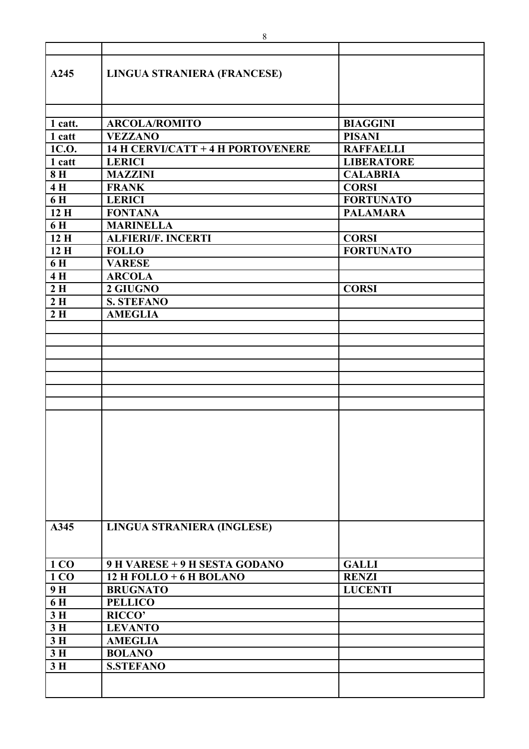| A245    | LINGUA STRANIERA (FRANCESE)       |                   |
|---------|-----------------------------------|-------------------|
|         |                                   |                   |
| 1 catt. | <b>ARCOLA/ROMITO</b>              | <b>BIAGGINI</b>   |
| 1 catt  | <b>VEZZANO</b>                    | <b>PISANI</b>     |
| 1C.O.   | 14 H CERVI/CATT + 4 H PORTOVENERE | <b>RAFFAELLI</b>  |
| 1 catt  | <b>LERICI</b>                     | <b>LIBERATORE</b> |
| 8H      | <b>MAZZINI</b>                    | <b>CALABRIA</b>   |
| 4H      | <b>FRANK</b>                      | <b>CORSI</b>      |
| 6H      | <b>LERICI</b>                     | <b>FORTUNATO</b>  |
| 12H     | <b>FONTANA</b>                    | <b>PALAMARA</b>   |
| 6H      | <b>MARINELLA</b>                  |                   |
| 12H     | <b>ALFIERI/F. INCERTI</b>         | <b>CORSI</b>      |
| 12H     | <b>FOLLO</b>                      | <b>FORTUNATO</b>  |
| 6 H     | <b>VARESE</b>                     |                   |
| 4H      | <b>ARCOLA</b>                     |                   |
| 2H      | 2 GIUGNO                          | <b>CORSI</b>      |
| 2H      | <b>S. STEFANO</b>                 |                   |
| 2H      | <b>AMEGLIA</b>                    |                   |
|         |                                   |                   |
|         |                                   |                   |
|         |                                   |                   |
|         |                                   |                   |
|         |                                   |                   |
|         |                                   |                   |
|         |                                   |                   |
|         |                                   |                   |
|         |                                   |                   |
|         |                                   |                   |
|         |                                   |                   |
|         |                                   |                   |
|         |                                   |                   |
|         |                                   |                   |
|         |                                   |                   |
|         |                                   |                   |
| A345    | LINGUA STRANIERA (INGLESE)        |                   |
|         |                                   |                   |
|         |                                   |                   |
| 1 CO    | 9 H VARESE + 9 H SESTA GODANO     | <b>GALLI</b>      |
| 1 CO    | 12 H FOLLO + $6$ H BOLANO         | <b>RENZI</b>      |
| 9H      | <b>BRUGNATO</b>                   | <b>LUCENTI</b>    |
| 6H      | <b>PELLICO</b>                    |                   |
| 3H      | <b>RICCO'</b>                     |                   |
| 3H      | <b>LEVANTO</b>                    |                   |
| 3H      | <b>AMEGLIA</b>                    |                   |
| 3H      |                                   |                   |
|         | <b>BOLANO</b>                     |                   |
| 3H      | <b>S.STEFANO</b>                  |                   |
|         |                                   |                   |
|         |                                   |                   |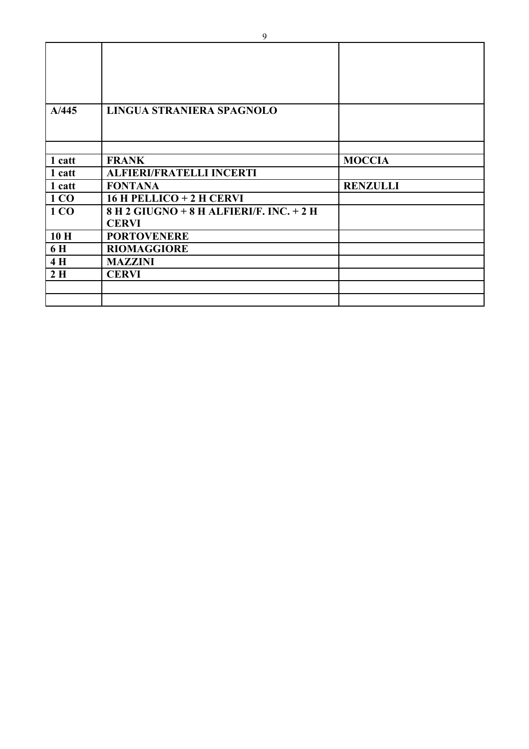| A/445  | LINGUA STRANIERA SPAGNOLO                |                 |
|--------|------------------------------------------|-----------------|
|        |                                          |                 |
| 1 catt | <b>FRANK</b>                             | <b>MOCCIA</b>   |
| 1 catt | <b>ALFIERI/FRATELLI INCERTI</b>          |                 |
| 1 catt | <b>FONTANA</b>                           | <b>RENZULLI</b> |
| 1 CO   | $16$ H PELLICO + 2 H CERVI               |                 |
| 1 CO   | 8 H 2 GIUGNO + 8 H ALFIERI/F. INC. + 2 H |                 |
|        | <b>CERVI</b>                             |                 |
| 10H    | <b>PORTOVENERE</b>                       |                 |
| 6 H    | <b>RIOMAGGIORE</b>                       |                 |
| 4H     | <b>MAZZINI</b>                           |                 |
| 2H     | <b>CERVI</b>                             |                 |
|        |                                          |                 |
|        |                                          |                 |